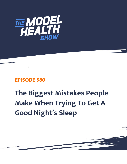

## **EPISODE 580**

## **The Biggest Mistakes People Make When Trying To Get A Good Night's Sleep**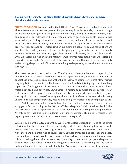## **You are now listening to The Model Health Show with Shawn Stevenson. For more, visit themodelhealthshow.com.**

**SHAWN STEVENSON:** Welcome to the Model Health Show. This is fitness and nutrition expert Shawn Stevenson, and I'm so grateful for you tuning in with me today. There is a huge difference between getting high-quality sleep and simply being unconscious. Alright, highquality sleep is really defined by the ability to go through our sleep cycles efficiently, so that we're waking up feeling rejuvenated, empowered, energized, and of course, our bodies and our brains are having the ability to heal. Now, I'm saying this specifically in relationship to our brain function, because during sleep is when our brains are actually cleaning house. There are specific cells called glymphatic cells, part of this glymphatic system that are active primarily when we're sleeping. It's really helping to clean out metabolic waste, and to recycle brain cells while we're sleeping. And this glymphatic system is 10 times more active when we're sleeping than when we're awake. So, a big part of this is understanding that our brains are incredibly active during sleep. It's kind of like we're switching to sleep mode, it's not that our brains are turning off.

That never happens. If our brains are off, we're dead. We're not here any longer. So, it's important for us to understand that we want to support the ability of our brain to be able to enact these processes, because one of the things that we're seeing now, is that Alzheimer's is very largely tied to an inability of the brain to clean itself, and diminishing aspects, diminishing capacities of this glymphatic system. Also, it's during sleep that large aspects of our metabolism are being optimized. So, whether it's helping to regulate the production of our testosterone, HGH, regulating our insulin sensitivity, these are all deeply controlled by our sleep quality, or lack thereof. Now again, there's a big difference between simply being unconscious, just being exhausted, passing out, being unconscious and getting high quality sleep. And it's so crazy that we have to have this conversation today, where sleep is such a struggle. In fact, according to the CDC, insufficient sleep is a "public health epidemic". The CDC's research recently approximated that 115 million Americans are regularly sleep-deprived. Alright, to say that this is an epidemic is an understatement, 115 million Americans are regularly sleep-deprived. And so, what are some of the aspects?

What are some of the outcomes of this? We know that sleep deprivation is one of the direct culprits in diabetes, in heart disease, in obesity, and of course, brain dysfunction as well. Cognitive dysfunction, of course, degradation of the brain itself that we see in conditions like Alzheimer's and dementia. And of course, again, all these things are tied together and deeply connected with sleep deprivation. And again, we have to have this conversation today because this is something that's baked into our DNA. The ability to sleep and to get great sleep and to have efficient sleep cycles is baked into our genetic make-up, it's something that the human [body and brain just knows how to do. But today it](https://themodelhealthshow.com/sleep-mistakes/)'[s as if we](https://themodelhealthshow.com/sleep-mistakes/)'[ve sabotaged our sleep, and we](https://themodelhealthshow.com/sleep-mistakes/)'[ve](https://themodelhealthshow.com/sleep-mistakes/) 

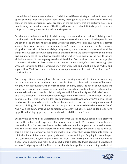created this epidemic where we have to find all these different strategies on how to sleep well again. So that's what this is really about. Today we're going to dive in and look at what are some of the biggest mistakes? What are some of the big culprits that are destroying our sleep quality today, and what are some of the things that we can do about it? And again, to reiterate this point, it's really about having efficient sleep cycles.

So, what does that mean? Well, just to take a very rudimentary look at that, we're talking about the change in our brain wave frequencies. How we know that we're actually sleeping, is that we can see the changes that take place within the brain. And right now, we're in a normal waking state, which is going to be primarily, we're going to be pumping out beta waves. Alright? So that's kind of the normal day-to-day waking state, coherent, comprehension, all the things that we associate with being awake. But from there, we start to dip into some of the preliminary stages of sleep that we can also achieve when we're awake, by the way. These are alpha brain waves. So, we're going from beta into alpha, it's a transition state, but during alpha is when we're kind of in a flow. We have a waking relaxation as well, if we're experiencing alpha while we're awake, and this is when we know that we're just kind of just in a good rhythm and a good flow. That flow state is often seen as alpha waves in the brain. From there, we're transitioning into...

Everything is kind of slowing down, the waves are slowing down a little bit and we're moving into theta, so we're in the theta state. Theta is often associated with a state of hypnosis. Alright? Now, little fun fact, when we're children, primarily below the age of about seven, we spend more waking time than we do as an adult, we spend more waking time in theta. And this speaks to how impressionable children really are with information. Again, it's kind of noted to be a state of hypnosis where information can get into our systems at a much deeper level. So, be aware of that. This is why children are so impressionable. And when you're a child, this is much easier for you to believe in the Easter Bunny, which is just such a weird phenomenon. I was just thinking about this the other day, this past Easter. Where did the bunny come from? And why is the bunny sh\*tting out eggs filled with candy? Whoever... Bunnies don't even have eggs. They don't lay eggs, they're mammals. Where did this come from?

But anyways, so having this understanding that when we're a child, we spend a little bit more time in theta, but we do experience theta as an adult as well. We can reach theta through meditation, if you're a very acclimated and experienced meditator, you can tap into that state. And also, this is a transitionary state, when we are transitioning in and out of sleep as well. So, this is a great time, when you are falling awake, in a sense, when you're falling into sleep, to think about your intention and your goals, and to visualize things, it's going to reach deeper into your subconscious, so it's pretty cool. But from there, we're going into deep delta wave sleep, so we got delta and really deep sleep. So, this is associated with deep non-REM sleep is [when we](https://themodelhealthshow.com/sleep-mistakes/)'[re dipping into delta. This is the most anabolic stage that a human being can be in, it](https://themodelhealthshow.com/sleep-mistakes/) 

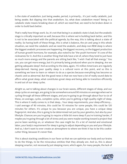is the state of anabolism. Just being awake, period, is primarily... It's just really catabolic, just being awake. But dipping into that anabolism. So, what does catabolism mean? Being in a catabolic state means breaking down of, which we need that, we need to be broken down in order to build back better.

That's really how things work. So, it's not that being in a catabolic state is bad, but the anabolic stage is critically important as well, because this is where we're building back better, and this is not to be associated with the political agenda, by the way, this is talking about a state of reality. So having both of these things, this is what is balance, the yin and yang in this whole situation, we need the catabolic and we need the anabolic, and deep non-REM sleep is where the biggest anabolic processes are happening, the biggest recovery, so the biggest production of human growth hormone, for example, also noted to be "the youth hormone" it's one of the nicknames for it. And this is another thing that kids have a lot of, where they tend to just have so much more energy and the parents are sitting back like, "I wish I had all that energy." You can, you can get more energy, but it's primarily being produced when you're sleeping. Are we getting adequate sleep? And according to the data, again, 115 million Americans are regularly sleep-derived. Having poor quality sleep is a cultural norm at this point, and so this is something we have to learn or relearn to do as a species because everything has become so chaotic and so abnormal. But the good news is that we now have a lot of really sound data to affirm what great sleep, what constitutes great sleep and being able to transition efficiently in and out of our sleep cycles.

Alright so, we're talking about changes in our brain waves, different stages of sleep, and our sleep cycles on average, are going to be somewhere around 90 minutes on average when we're cycling through all these different stages, and you're going to go through about four to six of these, on average, cycles, complete cycles, when you're getting a high-quality night of sleep. This is where it really comes in, is that sleep... Your sleep requirements, your sleep efficiency... I said average of 90 minutes, this could be 70 minutes for some people, this could be 120 minutes for others. It's unique to you because you are unique, you have a unique sleep fingerprint. And also, this is going to be determined not just by your genetics, but also by your lifestyle. Chances are you're going to require a little bit more sleep if you're training harder, if maybe you're going through a lot of stress and you were maybe working toward a project that you've been working on, or whatever the case might be. It's a lot of mental and emotional labor, your body's requirement for sleep is going to adjust depending on you and your lifestyle. And so, I don't want to ever create an atmosphere to where we think it has to be this cookiecutter thing, because it's never that.

This is about stacking conditions in our favor so that we can optimize our body and our brains to do the things, to be the miraculous entities that they already are. And so, this is about [sleeping smarter, not necessarily just sleeping more, which again, for many people, the lack of](https://themodelhealthshow.com/sleep-mistakes/) 

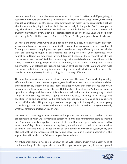hours is there, it's a cultural phenomenon for sure, but it doesn't matter much if you get eight really crummy hours of sleep versus six wonderful, efficient hours of sleep where you're going through your sleep cycles efficiently. These two things can match up, we can get into a debate about which one is going to be ideal, but what we're really looking at is... So, for example, to say, what does that crummy sleep look like? And this might be the first time that I ever said crummy in my life. I felt very much like I just transported back into the 1950s, Leave It to Bieber vibes, alright? But... Did I? Leave It to Beaver, not Bieber. For the young ones, Leave It to Beaver.

So, here's the thing, when we're talking about low-quality sleep, it's akin to nutrition today, where not all calories are created equal. So, the calories that are coming through in a bag of flaming hot Cheetos are going to affect your metabolism very differently than the calories that are coming through in an avocado. It's going to affect your hormones, your neurotransmitters, your mitochondria very differently because of the very construct of what those calories are made of. And this is something that we've talked about many times on this show, so we're not going to spend a lot of time here, but just understanding that this very superficial term of calories, it's just one expression of what's coming through and what fuels the human body, it's a very simplistic view of things because all calories are not the same, the metabolic impact, the cognitive impact is going to be very different.

The same happens with our sleep, not all sleep minutes are the same. There can be high quality, efficient minutes of sleep that we're getting, so this will be akin to the Avocado sleep, and then there can be really crappy, low quality, inefficient sleep minutes that we're getting, that would be akin to the Cheeto sleep, the Flaming Hot Cheetos vibes of sleep. And so, we want to optimize our sleep, and that's what this episode is really all about. And we're going to start things off in dissecting how this is going to work, and also, I'm going to go through five specifics, I'm talking about the five biggest mistakes that people are making on a consistent basis that's literally putting a strangle hold and hampering their sleep quality, so we're going to go through that. But it starts with understanding what is controlling the system overall, what's controlling our sleep cycles overall.

And also, our day and night cycles, even our waking cycles, because we also have rhythms that are taking place when we're producing certain hormones and neurotransmitters during the day. Digestion capacity, cognitive function, all of these things are going to be influenced by what time of day it is. And the master regulator, and what's also noted to be our circadian pacemaker that's helping us to keep time in our bodies with all of the solar system, really, and also just with all the processes that are taking place. So, our circadian pacemaker is the suprachiasmatic nucleus that's located in your hypothalamus.

Alright, suprachiasmatic nucleus, also known as the SCN, is located within the master gland of [the human body. So, the hypothalamus, and this is part of what you might have recognized](https://themodelhealthshow.com/sleep-mistakes/) 

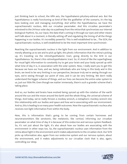just thinking back to school, the HPA axis, the hypothalamic-pituitary-adrenal axis. But the hypothalamus is really functioning as kind of like the godfather of the scenario, it's the big boss looking over and managing everything. And within the hypothalamus, we have the suprachiasmatic nucleus, AKA our circadian pacemaker. And this circadian pacemaker's entrained to the 24-hour solar day via a pathway from the retina that synchronizes our internal biological rhythms. So, our input, the data that's coming in through our eyes and other means we'll talk about in a moment, is literally setting off and regulating the timing of all the things happening in our bodies. It's incredibly powerful. This is well established to be... The SCN, the suprachiasmatic nucleus, is well established to be the most important time synchronizer.

Reaching the suprachiasmatic nucleus is the light from our environment. And in addition to merely allowing us to see and to pick up light, this photic information that the retina's picking up, it's traveling via the retinohypothalamic tract, going directly to the SCN in our hypothalamus. So, there's this retinohypothalamic tract. So, it's kind of like the superhighway for visual light information to constantly try to get your brain and your body synced up with what time of day it is, in association with the solar system. Now, I really want you to get this because we have our lives, and we, being individuals who are living in this body and in this brain, we tend to be very limiting in our perspective, because truly we're seeing through our eyes, we're seeing through our point of view, and it can be very limiting. We don't really understand the bigger scheme of things, and our lives can become the entire solar system to us, just our little life. Even though we matter immensely, there's such a grander scheme that's taking place.

And so, our bodies and brains have evolved being synced up with the rotation of the earth around the sun and the moon around the Earth and the whole thing, the universal scheme of things. And today, we've really thrown a monkey wrench, a metaphoric monkey wrench into this relationship with our bodies and space and how we're associating with our environment. And so, this is leading to so many poor health outcomes. Now the suprachiasmatic nucleus also receives non-light information from within the body.

Now, this is information that's going to be coming from certain hormones and neurotransmitters like serotonin, like melatonin, like cortisol, informing our circadian pacemaker on what time of day it is because of this endocrine and nervous system feedback. So, it's not just about the light, it's also about how our bodies are associating with the environment in other ways too. So, the suprachiasmatic nucleus uses information from the retina about light in the environment and it makes adjustments to the circadian clock. Our SCN picks up information also, again from our endocrine system and our nervous system, about the environment, and it makes adjustments to our circadian clock that is also, again, controlling our sleep.

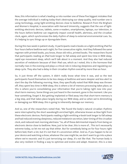Now, this information is what's leading us into number one of these five biggest mistakes that the average individual is making today that's destroying our sleep quality. And number one is using technology, using light-emitting devices close to bedtime. Research from the Brigham and Women's Hospital, in association with Harvard University, suggests that the use of lightemitting electronic devices, tablets, some e-readers, smartphones, laptops, our television, in the hours before bedtime can negatively impact overall health, alertness, and the circadian clock, again, which synchronizes the daily rhythm of sleep to external environmental cues. So, it's helping to sync things up or dysregulate them.

During this two-week in-patient study, 12 participants read e-books on a light-emitting iPad for four hours before bedtime each night, for five consecutive nights. And they followed the same regimen with printed books, you know, those old relics, printed books. The researchers found that participants reading an iPad took longer to fall asleep and spent less time in REM sleep, rapid eye movement sleep, which we'll talk about in a moment. And they also had reduced secretion of melatonin because of their iPad use, which as I noted, this is the hormone that normally rises in the evening and plays a critical role in inducing sleepiness and regulating our sleep cycle. They also had a delay in their circadian rhythm overall by more than an hour.

So, it just threw off the system, it didn't really know what time it was, and so the test participants found themselves to be less sleepy at bedtime and were sleepier and less alert to start the day the following morning. Now, they specifically noted that REM sleep was thrown off, they spent less time in REM sleep, this is where a lot of memory processing takes place, so this is where you're consolidating your information that you're taking right now into your short-term memory. Some things are just heard in the moment, gone in the moment. Like you hear something, forget it. But getting implanted or filed away into that short-term memory is a big step, and that takes place largely during our REM sleep, and so when we're diminishing or damaging our REM sleep, this is going to inherently damage our memory.

And so, one of the researchers noted that, "We found the body's natural circadian rhythms were interrupted by the short wavelength enriched light, otherwise known as blue light from these electronic devices. Participants reading a light-emitting e-book took longer to fall asleep and had reduced evening sleepiness, reduced melatonin secretion, later timing of the circadian clock, and reduced next morning alertness." So, all of these detrimental impacts from being on electronic device close to bedtime. Now, just to be clear, this is more of... This isn't necessarily extreme today, so let me not say that either. But for somebody being on for four hours right before bed, that's a lot, but it's not that it's uncommon either. And so, if you happen to be on your device and watching a show, whatever the case might be, we don't want to go into a place where we're neurotic and it's just terrorizing our sleep, it's not like that. The human body is also very resilient in finding a way to optimize and evolve and adapt. However, this is a new

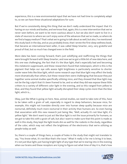experience, this is a new environmental input that we have not had time to completely adapt to, so we can have these situational adaptations for sure.

But if we're consistently doing this thing that we don't really understand the impact that it's having on our minds and bodies, and we know that, again, this is a new intervention that we've never seen before, we want to be more cautious about it, but we also don't want to live in a state of neurosis to where we can't enjoy some of the advances that we've made, so where do we find a happy medium? That's what we're going to talk about as well, but also, I've mentioned this study back in the day, and as you probably know, that I wrote the first sleep wellness book, that became an international best seller, it was called Sleep Smarter, very, very grateful and proud of that, but so much has changed even in the field.

More data has been coming forward, that's just solidifying and reaffirming the things that were brought forward with Sleep Smarter, and now we've got a little bit of new data here, and this one was challenging, the fact that it's the blue light, that's especially bad and becoming this melatonin suppressant, and these researchers found that melanopsin, which is this is the pigment that helps our eye cells assess light brightness is particularly sensitive to shorter cooler wave links like blue light, which some research says that blue light may affect the body more dramatically than others, but these researchers were challenging that because they put together some animal studies specifically utilizing mice, and they showed that blue light may not be the big culprit that it's been framed to be, and so what they did was expose these little critters to a variety of different color light in the evening, and so this ranged from yellow to blue, and they found that yellow light actually disrupted their sleep cycles more than the blue light, which is...

Okay, just like What is going on here. Now, animal studies, we need to take note of this, have to be taken with a grain of salt, especially in regard to sleep behaviors, because mice, for example, this might not translate directly over into human sleep quality because mice are nocturnal, definitely much more nocturnal in their activity than humans are. So even having that association with this new research just being like, "Well, actually it's not blue light, it's yellow light." We don't want to just act like blue light is not the issue primarily for humans, so we got to take this with a grain of salt, but also I want to make sure that this point is made as well in this study, they kept the light levels dim as well for the rodents in the study, regardless of the color, which may not reflect the brightness of the electronics that we're utilizing as people today as well.

So, there's a couple of things here, a couple of holes in the study that might not translate to say, "You know what, it's not Blue that's the issue." What it really is for me is bring it to bear, it's not just blue light, just having bright light of any type that we're staring into in the evening [when our brains and these receptors are trying to figure out what time of day it is, that](https://themodelhealthshow.com/sleep-mistakes/)'[s how](https://themodelhealthshow.com/sleep-mistakes/)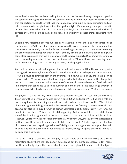we evolved, we evolved with natural light, and so our bodies would always be synced up with the solar system, right? With the entire solar system and all of life, but today, we can throw off that connection, we can throw off that information by consuming, because our retina and our cells, even our skin has photoreceptors that pick-up light, it's informing our super cosmetic nucleus that, "Hey, I think it's this time." It was just like, it can't quite figure out what time of day it is, should we be going into sleep mode, sleep efficiency, all those things can get thrown off.

So again, new research has come out that it's not just the color of the light, it's the intensity of the light and that's the big thing to take away from this. And so knowing this bit of data, this is where we can actually start to implement some things, but we got to know what's creating the problem and what inspired this episode is actually a friend of mine who's been dealing with some sleep issues, and they were like, of course, they have supported Sleep Smarter for many years, been a big supporter of my book, but they are like, "Shawn, I have been sleeping dumb as f\*ck recently. Alright, I'm not sleeping smarter, I'm sleeping dumb AF."

And we'll talk about what that implementor or that kind of curveball that they're dealing with coming up in a moment, but one of the big ones that's causing us to sleep dumb AF as a society, is our exposure to artificial light in the evenings. And so, what I'm really articulating for us today, it is like, "Okay, we know about sleeping smarter, but what are some of the things that we can do to sleep dumb AF." What are some of those environmental cues and feedbacks and implements that can cause us to sleep dumber, and one of those, let's actually go through in association with light, is keeping the television on while you are sleeping. What are you doing?

Alright, that is a sure-fire way to have some crazy dreams, for sure. I just saw this clip with Mike Tyson doing the lip sync, and he was doing, "I push it. Salt and pepper." He had the tights on, everything. It was like watching a fever dream that I had one time. It was just like, "Oh... " It just didn't feel right. But falling asleep with the television on, sure fire way to have some weird ass dreams, but also this a sure-fire way to disrupt your sleep quality dramatically. Now, for some people, it's just there... This is true. It's still happening. And shout out, I love you still. I know some folks listening right now like, "Yeah, that's me, I do that." And this is love. Alright, it's love. I just want you to know, it's not just our eyes that... And by the way, that auditory data is getting in, that's how these weird dreams tend to take place as well. But also, again, our skin has photoreceptors that are picking up that artificial light and sending data to our suprachiasmatic nucleus, and really every cell in our bodies to inform, trying to figure out what time is it, because this is so weird.

We're just trying to sort this out. Alright, so researchers at Cornell University did a really fascinating study where they took a test subject and put them into an otherwise dark room, [but they took a light just the size of about a quarter and placed it behind the test subjects](https://themodelhealthshow.com/sleep-mistakes/)'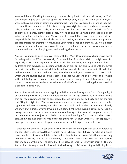knee, and that artificial light was enough to cause disruption to their normal sleep cycle. Their skin was picking up data, because again, we think our body is just this whole solid thing, but we're just a compilation of atoms and vibrating cells, and these cells are then coming together to create these communities. But this is the big point right here, each and every one of our cells, including our bacteria cells, have their own circadian clocks. So, these can be in the form of proteins or genes, literally clock genes. If we're talking about what is this circadian clock? What does that actually mean? We've now discovered there are clock genes that are responsible for these circadian clocks and also proteins, and these clock genes and proteins are responsible for creating or influencing your other genes and proteins. So, it's a master regulator of our biological expression. It's a pretty cool stuff, but again, we can just take a hammer to it and start banging away and breaking these clocks.

And so, if you want to sleep dumb AF, sleep with the TV on. Of course, it can happen, we might fall asleep with the TV on occasionally. Okay, cool. But if this is a habit, you might want to, especially if we're not experiencing the health that we want, you might want to look at addressing that behavior. So, sleeping with the television on, but also sleeping with the lights on, period. Now, there are wonderful shifts that we can make because some folks, they do deal with some fear associated with darkness, even though again, we come from darkness. This is where we are developed, and so this is something that our DNA will be a lot more comfortable with. But today, we've created and manufactured so many different traumatic things, traumatic experiences that have made humans afraid of the dark, something that we once had a beautiful kinship with.

And so, there are folks who are struggling with that, and so having some form of a night light or something of the like is understandable, but for the average person, we want to make sure that our room is dark and cozy as possible, so that we can allow our bodies to sort out the fact that, "Hey, it's nighttime." The suprachiasmatic nucleus can sync up our sleep sequence in the right way, and we can have rejuvenative sleep as a result, and so what can we shift to? Well, we know that humans evolve. If we did have some light in the evening, it was soft, reddish, orange-ish hue of fire, so we can look into maybe having a Himalayan salt lamp and having it on a dimmer where we just got a little bit of soft ambient light from that. And then there's also... NASA has even created some different lighting for... Because when you're in a space, you don't get the same inputs, but again, humans, we are not designed to be out there.

It's not how we evolved. We can do it, it's cool, we might need to figure that out. Of course, like the space travel Star Lord. All that, we might need to figure it out. But as of now, being in space tears people up. It just absolutely destroys their health. And so, some folks that are working with NASA actually sent me back in the day... They heard about Sleep Smarter. And so, they sent me some of the different lights that they use, and I got to tinker with them a little bit. [And so, there is a nighttime light as well. And so having the TV on, sleeping with the lights on,](https://themodelhealthshow.com/sleep-mistakes/)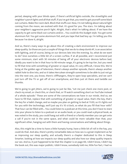period, sleeping with your blinds open, if there's artificial lights outside, the streetlights and neighbor's porch lights and all that stuff, if you've got that, you need to get yourself some black out curtains. Make the room dark. Block that stuffs out. Now, I'm not talking about natural light coming from the moon, we evolved with that. It's good for you. The stars. I'm talking about your neighbor's aggressive porch light. Alright, that's what I'm talking about. If we have the capacity to get some black out curtains and/or... You could do this budget style. You get some aluminum foil. You get some aluminum foil, and you tape that bad boy up. I'm telling you this because I've done it, alright.

And so, there's many ways to go about this of creating a dark environment to improve our sleep quality. So those are just a couple of things that we do to sleep dumb AF, is an association with lighting, and of course, being on our devices late into the evening. So, what do we want to do? Give ourselves a little bit of a screen curfew, if at all possible, and I recommend just some minimum, start with 30 minutes of being off of your electronic devices before bed, ideally you want to be in that hour to 90-minute range, it's going to be top tier, but you need to fill that time with something of greater or equal value, it's very difficult, I know this. We're living at the golden age of television, there's always another episode, there's always another rabbit hole to dive into, and so it takes Herculean strength sometimes to be able to just not go into the next one, you know, there's cliffhangers, they're open loop specialists, and we can't just turn off the TV or get off of our smartphone, and then just sit there and twiddle our thumbs.

We're going to get jitters, we're going to just be like, "Let me just check one more post, or check my email, or check this, or check that, or I'll watch something short on YouTube instead of a whole episode." These are some of the conversations we have in our minds. And so, we have to fill that, replace that with something of greater or equal value, that's the key, that's the key for a habit change, and so maybe you plan on getting to bed at 11:00, so it's lights out for you with the technology, we'll just say it's 10 o'clock, so what do you fill that hour with? That hour can be filled with... You could listen to a podcast at this time, you don't have to stare into your phone to listen to a podcast or an audio book, or you could read a physical book, as was noted in the study, you could hang out with a friend or a family member you can get onto a call if you're not in the same space, and what could be more valuable than that, your significant other, hanging out with them and having conversations and talking about things.

Also, this might be a time to have a little humpty hump, have a little bit of roll in the hay, you could do that. And also, there's pretty remarkable data on how sex is a great implement as far as improving our sleep quality, and actually there's a chapter dedicated to this in Sleep Smarter, looking at how sex impacts our sleep quality and also how our sleep quality impacts our sex. And so, it just happened to be that the chapter is on page 69, I didn't know, I didn't lay [the book out, this was major publish, I didn](https://themodelhealthshow.com/sleep-mistakes/)'[t know, somebody told me, little fun fact, I had no](https://themodelhealthshow.com/sleep-mistakes/)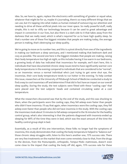idea. So, we have to, again, replace the electronics with something of greater or equal value, whatever that might be for us, maybe it's journaling, there's so many different things that we can use, but it's tapping into what makes us human instead of outsourcing our attention and needing to drive all these artificial pixels into our inner space. So really powerful stuff, really simple, this is not to vilify our technology because it can be used to great advantage and impact in connection in our lives, but also there is a dark side to it that takes away from the darkness that we really need, which is what's required for us to have high quality sleep. So that's number one of these five biggest mistakes that people are making today, the average person is making, that's destroying our sleep quality.

We're going to move on to number two, and this is a pivot directly from one of the ingredients in making our bedroom a sleep sanctuary, and I mentioned making that bedroom dark and cozy as possible. The second one here is the biggest mistakes that people are making, raising their body temperature too high at night, so this includes having it too warm in our bedrooms, a growing body of data has indicated that insomniacs for example, we'll start here, this is individuals that have documented chronic sleep issues tend to have significantly warmer core body temperatures in the evening compared to individuals that are considered to be "normal", so an insomniac versus a normal individual who's just trying to get some shut eye, the insomniac, their core body temperature tends to run hotter in the evening. To help combat this issue, researchers at the University of Pittsburgh School of Medicine conducted a study to find a way to cool insomniacs off and determine if that did in fact have an impact on our overall sleep quality. During the study, the test subjects were fitted with these "cooling caps" that were placed over the test subjects' heads and contained circulating water at a cool temperature.

What the researchers discovered was that by the end of the study, and this was shocking to them, when the participants wore the cooling caps, they fell asleep even faster than people who didn't have insomnia. I'll say that again, when insomniacs wore the cooling caps, they fell asleep even faster than people who did not have insomnia in the study. With the cooling caps the insomniacs took about 13 minutes to fall asleep compared to the 16 minutes for the healthy control group, what's also interesting is that the patients diagnosed with insomnia ended up sleeping for 89% of the time they were in bed, which was the exact amount of the time the healthy control group slept in bed.

Essentially, as a result of this one intervention, these folks no longer had the symptoms of insomnia, this study demonstrates that cooling the body temperature helped to "balance out" those chronic sleep struggles with, listen to this here's another one, 75% success rate. There are very few treatments on the market that even come remotely close to that, from the drugs to the devices, from the Posturepedic, orthopedic, Tempur-Pedic mattresses, doesn't even [come close to the impact that cooling the body off did, again, 75% success rate for these](https://themodelhealthshow.com/sleep-mistakes/)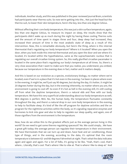individuals. Another study, and this was published in the peer reviewed journal Brain, scientists had participants wear thermo suits. So now we're getting into the... Not just the head but the thermo suit, to lower their skin temperature, here's the key, less than one degree Celsius.

Without affecting their core body temperature, this was just a skin surface temperature, again, less than one degree Celsius, to measure its impact on sleep, the results show that the participants didn't wake up as much during the night by having these cooling Thermo suits and the amount of time spent in stages three and four, deep sleep had increased, they increased their amount of time in the most anabolic state of sleep as a result of this intervention. Now, this is remarkable obviously, but here's the thing, where is this internal thermostat that's regulating our body temperature? Where is it located? When you open the door, when you look inside this internal thermostat and you open the door and see where it's located, it's located within the hypothalamus, same as the suprachiasmatic nucleus that is regulating our overall circadian timing system. So, this really glorified circadian pacemaker is located in the same place that's regulating our body's temperature at all times. So, there's a very close association that I want to make sure that you realize, you understand, you embed, because our temperature in the evening does in fact, matter and it matters deeply.

And this is based on our evolution as a species, evolutionary biology, no matter where we're located, even if we're in a place that it's hot even in the evening. I've been in places where even in the evening, it might be, we'll just say 90 degrees, but during the day, it's hotter, it might be 20 degrees hotter during the day, but in the evening inherently, no matter where you are, the environment is going to cool off. So even if it's hot as hell in the evening still, it's still cooling off from what the daytime temperature, there's a natural ebb and flow with our body temperature. We have this very superficial understanding about our body temperature as well, 98.6 degrees is perfect, 98.6. No, the human body, the temperature fluctuates constantly throughout the day, and there's a natural drop in our core body temperature in the evening to help to facilitate sleep. It's kind of like the off program for daytime activities and the on program for the nighttime activities within the body, so it's signaling reparative enzymes and hormones to kick into gear and also to help to regulate our sleep quality, and again, one of those signifiers from the environment is the temperature.

Now, how do we utilize this to the greatest effects just as the average person living in this world? Do we need to get some thermo regulating spacesuit? No. We could simply... We have a great gift today; the average person can regulate their temperature in their environment. We have thermostats that we can turn up and down, have heat and air conditioning, those type of things, and in the evening, according to the data, it's optimal that the room temperature is between 62- and 68-degrees Fahrenheit at night. That's what the data indicates again and again and again. For a lot of folks, it's going to be like, "Yeah, that's cool, that's [where... Literally, that](https://themodelhealthshow.com/sleep-mistakes/)'[s cool. That](https://themodelhealthshow.com/sleep-mistakes/)'[s where I like to vibe at. That is where I like to sleep at." And](https://themodelhealthshow.com/sleep-mistakes/)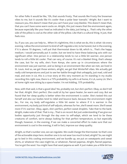for other folks it would be like, "Oh, that sounds frosty. That sounds like Frosty the Snowman vibes to me, but it sounds like it's cooler than a polar bear toenails." Alright. But I want to reassure you, this doesn't mean that you can't have your cozy blankie. This doesn't mean that, that you can't have some warm socks on. Alright, this just means that the environment again, because especially like your head as indicated in the data, just being a... That's why the other side of the pillow is cool as the other side of the pillow. Like that's a cultural thing. It just, that feels nice.

So, if you can, you can help to... When it's nighttime, this is what we do, this is what I do every evening. I allow the environment to kind of self-regulate a lot, to be honest, but in the evening, if it is above 70 degrees, I will put that thermostat down to 68, which is... That's the happy medium. I would personally put it cooler, but we tend to have these balancing acts with our significant other. One person in a relationship tends to run a little bit warmer, one person tends to roll a little bit cooler. That can vary, of course. It's not a blanket thing, that's always the case, but for my wife, she's from Kenya, she came up in circumstances where the environment was just warmer, and so being in an environment like when we met, we lived in St. Louis. And so, we get those winters, alright, we get that Winterfell vibes. We actually get really cold temperatures and just to see her battle through that unhappily, just mad, cold and mad, and even in LA, this is a true story at this very moment as I'm standing in my studio recording this right now, there is a 75% probability my wife is at home, it's LA, sunny LA. She's at home right now sitting by a space heater. I'm not kidding. 75% probability.

Now, with that said, is that a good idea? No, probably not, but she's perfect. Okay, so don't tell her that. Alright. She's perfect. She could sit by her space heater, be warm and cozy. But we found that her sleep quality is better when the environment is cooler. She's tested this out herself and also our bodies tend to rebel and bounce back, because the environment might be... For me, my body self-regulates a little bit easier to where if it is warmer in the environment, my body just kind of self-adjusts, whereas for her, she'll sweat more. She'll sweat more if it's warmer. Okay, again, she's perfect, perfect sweat droplets. Take that to the bank. Alright, make note of that. That is my... That is on record. But just understanding if we give our bodies opportunity just through the day even to self-adapt, which we tend to be these creatures of comfort, we're always looking for that perfect temperature, so but especially though, however, in the evening, if we can make a concerted effort to make sure that our environment is cool in the evening, it will in fact, improve our sleep quality.

Alright, so that's number one, we can regulate. We could change the thermostat. So that's one of the actionable steps here. Another one is to not wear too much to bed, alright? So, we might go to bed in this cooling environment, and we bundle up, we put on sweatpants and sweat shirts, or whatever the case might be, or whatever, flannel pajamas. Alright, flannel pajamas. [You](https://themodelhealthshow.com/sleep-mistakes/)'[ve got the wool. You might have that wool pajama as well. It just makes you a little bit too](https://themodelhealthshow.com/sleep-mistakes/) 

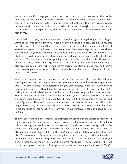warm. It's nice at first, keeps you nice and warm as you slip into the coolness, but then as the night goes on, you end up overheating. And so, I've woken up many a day and seen my wife's socks over on the floor or whatever, she kicks them off in the nighttime. It's just so strange, but I appreciate it 'cause her feet to be cold as hell, to be honest. Alright, she put them on me, it's the only time I say explicits. I say explicits directed at her when she put the cold dead body feet on me.

And so, with that happy medium is wear them socks, but again, during the night, the body gets warm, socks come off. Alright now, so don't wear too much to bed. Now, let me tell you this one. This is one of the things that, for me is one of my favorite things about going to bed. I know this is going to sound weird. I love going to bed because I'm slipping into these sheets that we have. Do you know what it's like to sleep inside of a love poem? Do you know what it's like to sleep inside of your favorite love song? That's what it's like slipping into the sheets that we have. We have these thermoregulating sheets and they're antimicrobial, they're selfdeodorizing, they inhibit bacterial growth and create a healthy sleep environment. And they're also breathable, moisture wicking, and they're thermoregulating as mentioned, and they're made from organic bamboo lyocell. Now this sounds super fancy pants, which I would have never in a million years...

When I met my wife, I was sleeping on the sheets... I met my wife when I was 24, and I was sleeping on the sheets that my grandmother gave me when I moved away to college, when I was 17. I'm embarrassed. I'm embarrassed, alright? Same sheets, alright? So, I wouldn't have known that this even mattered. But this is also important, because the materials that we're making all of these kinds of conventional items out of, they're not good for the environment. The cotton industry, period. It's just like, it's nuts once you start to look into that, but these sheets are made from organic bamboo lyocell. They're 300 thread count, is as fine as 1000 count Egyptian cotton, and it only consumes about one third of the water. And this is the biggest key for me, and what it was like, "Okay, I'll try these out," no harmful chemicals utilized in making these sheets, which is not common for our mattresses, for our pillows, for our bedding.

The industries, the flame retardants, the chemicals, the toxins that are utilized to make these things are nuts. It's crazy, that whole industry is crazy, and now we have sound data and how this is affecting our health overall and of course, disrupting our sleep quality. And so, the sheets that we sleep on are from Ettitude, not attitude, Ettitude with an E. And it's ettitude.com/model. That's E-T-T-I-T-U-D-E.com/model. And I just talked with them, I was just like, "You know what... " Because we had just got some ourselves, they didn't send them to us, we bought some more because just like we... I don't want to sleep on anything else. Once you sleep in these sheets, it's just like, "Man, this is what it's all about." And so, I was just like, "Let [me hit these guys up and see if I can get a special discount, an upgraded discount." They](https://themodelhealthshow.com/sleep-mistakes/)'[re](https://themodelhealthshow.com/sleep-mistakes/) 

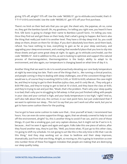giving 15% off, alright? 15% off. Use the code "MODEL15", go to ettitude.com/model, that's E-T-T-I-T-U-D-E.com/model. Use the code "MODEL15", get 15% off your first purchase.

There's no limit on their bed sets that you can get, the sheet sets, the pajamas, oh no, come on, they got the bamboo lyocell. Oh, my goodness, I'm telling you right now, you heard it here first. Silk Sonic is going to change their name to Bamboo Lyocell Sonic. I'm telling you now. Once they find out and get these on their body, that's what's going to happen. But here's also the thing that really just took it to another level. They have a 30-day sleep trial. So, you could sleep on them, dream on them for 30 days. If you don't absolutely love them, send them back, refund. You have nothing to lose, everything to gain as far as your sleep sanctuary, and upgrading your sleep environment, and creating that wonderful place that you love to slip into those sheets and get some great sleep at night. So again, go to ettitude.com/model, use the code "MODEL15". And in addition to this, as we're looking to optimize and support this natural process of thermoregulation, thermoregulation is the body's ability to adapt to its environment, and also again, our temperature is changing based on what time of day it is.

Another thing that we want to do is to avoid proactively elevating our core body temperature at night by exercising too late. That's one of the things that is... Me running a clinical practice, and people coming in they're dealing with sleep challenges, one of the consistent things that I would see is, of course they're working 9:00 to 5:00, or 10:00 to 6:00, whatever the case might be, and they're trying to get to their Brazilian Jujitsu class, and it's only like at... They only got a 8:00 PM class, and they're trying to get to bed at 10 o'clock, and they leave the class at 9:00, and they're trying to eat and just like, "Woah, that's the problem. That's why your sleep quality is so bad, that's why you're struggling to fall asleep. Is that you just finished rolling with people in your class and your cortisol is high, and your body temperature is too high," right? And so, we'll also talk about that one, the cortisol, in our next point here, but just understand that if we want to optimize our sleep... This isn't to say that you can't work out after work, but you've got to have some cushion there for the pushing.

You've got to have some cushion to make sure that... Give yourself at least, I recommend two hours. You can even do some supportive things, again, that we already covered to help to cool off the environment, alright? So, this is another thing to avoid if we can, and it's one of those things, it's just like a smoking gun, just very captain obvious, but it might not be if we're in it, because... And I've seen it again and again and again. Folks take this one piece of advice, after they found another way, they're just like, "Well, you know what, I'll just go to this other class, I'm going to shift my schedule. I'm not going to act like this is the only time in life that I can do this thing." And they stop working out so close to bedtime and their sleep improves, dramatically. Just from that one thing. Alright, so moving on, this is going to transition us over into number three of these five biggest mistakes that people are making that are destroying [our sleep quality today.](https://themodelhealthshow.com/sleep-mistakes/)

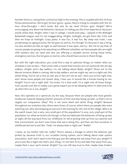Number three is, raising their cortisol too high in the evening. This is coupled with this 24-hour fitness phenomenon. We've got 24-hour gyms, I guess, they're trying to compete with the 24 hour drive-throughs. I don't know. But why do we need 24-hour gym. Alright? We're encouraging very abnormal behaviors, because I'm telling you this from experience, because I would utilize that. Alright, when I was in college, I would even play... I played in the Midnight Basketball League, and I'm not exaggerating. Alright, midnight, we get there like 11:30, and then we hoop at midnight. Crazy pants. It was fun, it was fun. My sleep was trash, I was accelerating my aging process, the list goes on and on, fun though. It's because it was a thing. I've also worked out late at night as well because it was open, and so... But not to say that, of course, people are going to be operating on different schedules, we have people who are night shift workers who we need and who are offering a valuable service during those times, emergency services, the list goes on and on, who should have access to these things.

But with the right education, you could find a way to optimize things no matter what our schedule is, but we also... That comes with a caveat that humans are not nocturnal. We are day walkers. Alright, we're day walkers, I'm not talking about Blade, alright? Shout out to the Marvel universe, Blade is coming. We're day walkers, and we might say, we're a night owl, this whole thing. You're not a now an owl, you in fact are not an owl. I dare you to hoo right now, and I know some people just hooed, okay, I hear you. It sounds like a human hooing to me. Alright? You're not a night wolf. You know, I'm a lone wolf, I'm a night owl, all those things. Cool, sounds cool. But in reality, your genes expect you to be sleeping when it's dark and to be up when the sun is out, alright?

Now, this operates on a spectrum, by the way, because there are people who have genetic tendencies towards sleeping shorter amounts of time and also being up later, so that's not to negate our uniqueness. Okay? This is not some black and white thing, alright? Because throughout our evolution also, there were times, of course, where there are people who were watching out, who were keeping an eye out in the evening for the rest of the village. Who is at the watch tower, but a very, very small part of the population? A very, very small part of the population. So, what we tend to do though, is that we habituate the behaviors of being up late at night, all the way back from our childhood. Or we're picking that up from our parents and that environment, we don't even know that we're doing this, and then we find ourselves in adulthood and we're just like, "Yeah, I've always been a night owl." Really?

I mean, as my mother told me, really? There's always a lineage to where the behavior got picked up, because truth is, our circadian timing system, we're talking about solar system association. And I don't want to be that guy just like taking the owl away from you, alright? If you're just like a night owl, that's your thing. I'm not here to try and take that away from you, [maybe that is your spirit animal. Alright? You can still stay true to that, maybe wear Drake](https://themodelhealthshow.com/sleep-mistakes/)'[s](https://themodelhealthshow.com/sleep-mistakes/) 

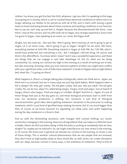clothes. You know, you got the Owl, the OVO, whatever, I get you. But I'm speaking to this huge issue going on in society, which is, we've created these abnormal conditions to where we're no longer allowing our bodies to be synced up with all of life, and it starts with having a good heart-to-heart and being honest about these scenarios and stacking conditions in our favorite. Not to say we can't stay up and kick it. Alright, because the aforementioned Silk Sonic, I was there, I was at the concert, and my wife took me to Vegas, very strange experience. Every time I've gone to Vegas, I was speaking at an event, so I never did Vegas stuff.

Alright, but she took me... She was like, "We're going. We're leaving LA, we're going to go to Vegas. LA is on some crazy... We're going to go to Vegas." Alright? So we went, Silk Sonic, everything started at 9:00 PM. Everything started in Vegas at 9:00 PM. No 7:00 PM, which I would have preferred, but everything is not... But I indulged, I did the thing. Of course, and there's the aftereffects. You know what I mean? And it was a wonderful experience, and these are things that we can engage in and take advantage of, but it's what are we doing consistently. So, raising our cortisol too high in the evening as a result of working out to late, but also stressing, stressing. Have you ever noticed a pattern of when you might have conflict with your significant other, a lot of folks have realized it, it tends to happen late at night before bed, what the...? Is going on there?

What happens is, there's a change taking place biologically, where we think we're... Again, we think we're so evolved, but we in many ways are just big adult babies. What happens when a kid is sleepy? Oh, they get cranky. The kid gets cranky. Not you. Not you adult. The kid gets cranky. No, we do too, okay? It's called being tangry. Tangry, tired and angry. You've heard of hangry, there's also tangry. Tired and angry or irritable. Alright? And this is... Again, it's one of those things that just as the day goes on, and these biological processes start to shift from even our serotonin production is shifting. Our serotonin is just kind of feel-good neurotransmitter, good vibes. We're getting melatonin. Serotonin is the precursor to making melatonin, which is just kind of glorified sleep relating hormone, but it's so much bigger than that, of course, as we know, because it's regulating our sleep cycle, and cycles happening during the day, melatonin is critical in that.

And so, with the diminishing serotonin, with changes with cortisol shifting, our insulin sensitivity's changing in the evening, these are all ingredients that can make us a little bit more irritable, where we find ourselves being a little bit picky or picking at somebody that we love, alright? So, maybe you've noticed it. So, we might manufacture our own stress in the evening, or of course, life stress just in general can elevate our cortisol in the evening, so stress is one of those things. This is another cultural phenomenon that we see people that are stressed, they don't have as high-quality sleep as they would like, as well, stress can create disruption with our sleep, because cortisol in many ways, is the antithesis of melatonin. They're kind of

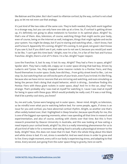like Batman and the Joker. But I don't want to villainize cortisol, by the way, cortisol is not a bad guy, so let me not even use that analogy.

It's just kind of like two sides of the same coin. They're both needed, they both work together in a strange way, but you can only have one side up at a time. So, if cortisol is getting driven up, it's definitely not going to allow melatonin to function in its optimal place. Alright? So, that's one of them. Also, television, of course, watching things that might excite your body, even of course, being on the Internet as well, Instagram, things that might agitate and excite your system. You might be sleepy, but if you're staring and watching what... I don't know, Fast and Furious 9. Apparently 10's coming. Alright? 10's coming. 9, not good, not good. I don't know if you saw it, but if you didn't see it yet, make sure to not see it, because you would just want to be like, "I can't get this time back." Alright, now I'm a fan, I'm a fan of the Fast and Furious franchise. Alright, there's a lot of F's there. I'm a fan. Alright? Super respect.

Love the franchise. 9, lost its way. It lost its way. Alright? They had a Fiero in space, alright? Spoiler alert. They had a really old, crappy car in outer space driving that bad boy. Driven by Ludacris and Tyrese. Yes, they strapped some massive rockets to a Pontiac Fiero, and they found themselves in outer space. Dude, how did they... From gritty street level to like... Let me stop. So, but watching that can still excite parts of your brain, even if you're tired. It's like firing, because also we have mirror neurons that are mirroring and watching, and even simulating us being the person that's doing that stupid behavior, which is driving... Somehow finding this Pontiac Fiero with these giant rockets in outer space, okay? And I'm in the car, okay? Very strange. That's probably why I was mad at myself for watching it, 'cause I was mad at myself for being in space with these guys. Which would probably be really cool, if it was a real thing, that'd be a pretty cool story, you know?

So, me and Luda, Tyrese were hanging out in outer space... Never mind. Alright, so television, so be mindful even what you're watching before bed. For some people, again, if stress is an issue for you and cortisol, you have abnormal cortisol rhythm. Alright, so another one that's often widely looked over, that I highlighted in Sleep Smarter, because specifically for me, this is one of the biggest eye-opening moments, when I was spending all that time in research and experimentation, and also of course, working with clients over that time. But this is from research presented by Deacon University in Australia, and this was looking at how eating a meal impacts your cortisol levels, alright? So, this is a really interesting phenomenon for us to all just kind of take in for a moment, that eating food is actually a physiological stressor to the body. Alright? Now, this does not mean that it's bad. That's the whole thing about this black and white stress is bad. It's not, stress is wonderful. And we need stress in order to grow and to live. Every single moment, every cell in our body is experiencing stress, and adapting to that stress. Every second. Just going from the outer space thing to gravity, here on earth.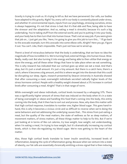Gravity is trying to crush us. It's trying to kill us. But we have persevered. Our cells, our bodies have adapted to this gravity. Right? So, every cell in our body is constantly placed under stress, and whether it's environmental inputs, inputs from our psychology, stressing ourselves, stress is always happening. It's not that stress is bad. But it's that ebb and flow, being able to have the stressor and the adaptation. And so, eating a meal is stressful, because it's such a big undertaking. You're taking stuff from the external world, and you're putting it into your body, and your body has to then turn that into human tissue. That's not an easy job. If you were given that job on... I just get you like, "Here, I'm going to give you this job to turn this... " I'll go back to the avocado example, turn this avocado into some elbow cells. Alright? Here you go. Figure it out. You can't. Like, that's impossible. That's just not how we're wired up.

There's a level of miraculous behavior that the body is undertaking, that we have no idea the magnitude of how incredible it is. We're turning food, external things, into human tissue. Wow. Really, really cool. But also turning it into energy and being able to then utilize that energy or store the energy, and all these other things that have to take place when we eat something. This is why research has indicated that our cortisol goes up when we eat a meal. And that's okay, but it's just a small amount. It's just a tiny amount. But there is a catch here, there's a catch, where it becomes a big amount, and this is where we get into the domain that this could be disrupting our sleep. Again, research presented by Deacon University in Australia showed that after consuming a meal, overweight individuals secreted radically higher levels of the stress hormone cortisol. People with a healthy weight showed about a 5% increase in cortisol levels after consuming a meal. Alright? That's in that range of norm.

While overweight and obese individuals, cortisol levels increased by a whopping 51%. There was a significantly higher amount of stress that was induced on the body when it's in a state of being overweight or obese and handling this food that's coming into the body, this entity coming into the body, that it then has to sort out and process. Now, why does this matter with that high cortisol response, translates to number one, higher blood sugar. This goes hand-inhand, this is why it becomes a vicious circle and so difficult to reverse when we're doing the same behaviors and not addressing the underlying causes that... This stress from just eating a meal, but the quality of the meal matters, the state of wellness as far as sleep matters, of movement matters, of stress matters, all these things matter to help to fix this. But if we're just looking at in terms of like cut calories, try lose weight, lose weight, not understanding, when I'm eating a meal, I'm trying to lose weight, but it's dramatically increasing my cortisol levels, which is then dis-regulating my blood sugar. We're now getting to the heart of the matter.

Also, those high cortisol levels translate to lower insulin sensitivity, increased levels of inflammation, keeping the cycle of inflammation going. Because when we venture into a state [of obesity, our fat cells are essentially chronically emitting a stress signal that is then inducing](https://themodelhealthshow.com/sleep-mistakes/)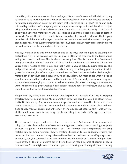the activity of our immune system, because it's just like a stressful event with the fat cell trying to hang on to so much energy that it was not really designed to have, and this has become a normalized phenomenon in our culture today, that is anything but, alright? The human body is incredibly resilient, we're adapting, we can adapt, we can adapt, but what that does is it just brings on all manner of chronic diseases come along with that state of obesity. That state of obesity and abnormal metabolic health, this is tied to nine of the 10 leading causes of death in our world. So, whether it's from heart disease, from diabetes, from liver disease, the list goes on and on, all of that morbidity skyrockets when we venture into obesity because of the impact blood sugar has. Blood sugar dysregulation/obesity, because it just really creates such a more difficult medium for the human body to operate in.

And so, I want to bring this one up here as one of the ways that we might be elevating our cortisol too high in the evening. And so, this gives a little bit of credence to the tenet of not eating too close to bedtime. This is where it actually has... This isn't about like, "You're not going to burn the calories," that kind of thing. The human body is still doing its thing when you're sleeping as far as calorie burn and that whole thing, and actually during sleep is... The end point for caloric energy leaving your body is through breathing, you lose quite a bit while you're just sleeping, but of course, we have to have the first dominos to be knocked over, but metabolism doesn't just stop because you're asleep, alright, but more so it's what it does to your hormones, and that's what we need to be mindful of. So, especially if we're venturing into a state where we're trying to... We want to lose some weight, we're overweight or obese, we want to be mindful to give ourselves ideally at least just two hours before bed, to give our body some time for that cortisol to retch it back down.

Alright now, my friend who I mentioned, who inspired this episode of instead of sleeping smarter, they're sleeping dumb AF, also another corporate here that could be elevating our cortisol in the evening. She just underwent a surgery where that required her to be on a certain medication and that might be a corporate behind some abnormalities taking place with our sleep quality. Medications are one of the most overlooked areas because again, it was just like, all this medication does is one thing, no its operating in a body that's hyper-connected, everything's connected.

There's no such thing as a side effect, there's a direct effect. And so, one of those consistent things that take place with a lot of even pain management medications, is creating disruption because it's going to inherently impact our liver function that's responsible for drug metabolism, our brain function. They're creating disruption to our endocrine system, the hormones that are communicating between the cells of our bodies about what's going on, our nervous system, it's communicating between the cells of our body as to what's going on here. It can throw a little bit of a curve ball in there, that can result in some abnormal sleep, so [medications. So, we might want to venture, part of us healing our sleep quality and reducing](https://themodelhealthshow.com/sleep-mistakes/) 

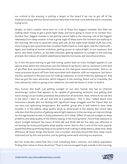our cortisol in the evening, is putting a target on the board if we can, to get off of the medication along with our doctors and not have that to be that curve ball that we're constantly trying to hit.

Alright, so that's number three here on a list of these five biggest mistakes that folks are making when trying to get a good night sleep, and we're going to move on to number four. Number four, biggest mistake is not getting natural light in the morning, one of the biggest takeaways from sleep smarter is that a great night of sleep starts the moment you wake up in the morning. We tend to associate sleep with just all the night-time-related stuff, but truly, we're trying to sync up and set that circadian rhythm back on track again. And this starts with... Again, just looking at human evolution, getting access to natural light, to sun exposure. And here's why these matters, as the data indicates, getting exposure to sunlight in the morning prompts the release of notable wakefulness/daytime hormones and neurotransmitters.

So, it sets the pace starting to get that timing system back on track. Sunlight appears to cue special areas within the retina that cues the release of serotonin. And so, serotonin is this kind of glorified dual neurotransmitter/hormone as this feel-good neurotransmitter. And so, so many processes branch off from that associated with daytime, with sun exposure, but here's the key, serotonin is the precursor for making melatonin, it's kind of like the opening act. And then we got the main attraction, which happens in the evening. Shout out to Coachella, the main attraction, which is going to be melatonin, we need serotonin in order to build it.

Also, human skin itself, just getting sunlight on our skin, human skin has an inherent serotonergic system that appears to be capable of generating serotonin. Just getting that warm energy on our bodies promotes the production of serotonin. Now, where do we see this in the data? I want to call out and look at a population... This is why I talked about even insomniacs, people who are dealing with significant sleep struggles and the impact that we can have just optimizing temperature. But another group who is well noted to have sleep troubles is in the elderly, sleep quality tends to deteriorate in the elderly. But recent data indicates that this practice of getting natural light exposure in the morning can improve things for this age bracket as well. A study published in 2017 titled, "Effect of natural sunlight on sleep problems and sleep quality of the elderly staying in the nursing home", found that exposure to direct sunlight between the hours of 8:00 AM and 10:00 AM for five days was effective in increasing the study participants sleep quality scores. And so, this is one of the most popular quantified sleep quantifying sleep score systems that's taking in sleep latency, sleep time, sleep efficiency, all those things into factor, into a number. And they found that their sleep scores improved just by this one practice, just by getting some early morning sun exposure.

But the study also noted that this is not something that's common. Are elderly population [finding their selves in these situations? They](https://themodelhealthshow.com/sleep-mistakes/)'[re not encouraged to get outside in the morning,](https://themodelhealthshow.com/sleep-mistakes/) 

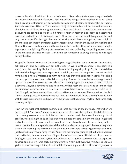you're in this kind of habitual... In some instances, is like a prison state where you got to abide by certain standards and structures. But one of the things that's overlooked is just sleep qualities and just abnormal just because. It's because we've become so abnormal in our inputs. And so how can we utilize this for ourselves? Not just for ourselves but the people that we care about, for our children, for our grandparents, these are things that need to be re-encouraged because these are things we once did forever, forever, forever. But today, to become the exception and not the rule for many people. Now, one other really cool thing about this and why I want to specifically target this one and looking at just how much getting natural light in the morning can impact our sleep quality, research published in the journal Innovations and Clinical Neuroscience found an additional bonus here with getting early morning sunlight. Exposure to sunlight significantly decreased cortisol later in the day. So, getting sun exposure in the morning decrease cortisol later in the day compared to being exposed to dim light during the day.

So, getting that sun exposure in the morning versus getting dim light exposure in the morning, artificial dim light, decreased cortisol in the evening. We know that cortisol is an enemy in a sense, I use that word lightly, but it is a deterrent for high quality sleep. So, the research has indicated that by getting more exposure to sunlight, you set the tempo for a normal cortisol rhythm and a normal melatonin rhythm as well. And that's what it's really about, it's setting the pace, getting an optimal cortisol rhythm going. Because the way that our biology is wired up, cortisol should be elevating naturally in the morning. Again, it's not that cortisol is bad, it's a daytime vibe, it's a daytime related hormone. And it's really that get up and go, and cortisol has so many wonderful benefits as well, even like with our thyroid function. Cortisol is key in that. So again, with our metabolism, cortisol matters, and so we should have a natural rise, but then it should gradually decline as the day goes on and bottom in the evening in association with the rise in melatonin. So how can we help to reset that cortisol rhythm? Get some early morning sunlight.

How can we reset that cortisol rhythm? Get some exercise in the morning. That's when we need to get it. This doesn't mean we can't work out after work but get in a little bit of time in the morning to reset that cortisol rhythm. This is another tactic that I would use in my clinical practice, was getting folks to do just even five minutes of exercise in the morning to get that cortisol secretions. Because what we would call them clinically, and of course, being able to test and look at hormone panels, we call them tired and wired. Alright, so this means they were tired in the morning and wired up in the evening. So, they were trying to get some sleep. They just tend to be up, "I'm up, right, I'm up." And in the morning dragging to get out of bed because that cortisol rhythm was sometimes flipped, but often times just a little bit out of sync, and so helping to reset that cortisol rhythm, one of those tactics, getting early morning sun exposure, another one, getting some early morning exercise. Again, just even five minutes, so you can [go for a power walking outside, do a little bit of power yoga, whatever the case is, jump on a](https://themodelhealthshow.com/sleep-mistakes/) 

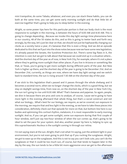mini trampoline, do some Tabata, whatever, and even you can stack these habits, you can do both at the same time, you can get some early morning sunlight and do that little bit of exercise together that's going to help you to sleep better in the evening.

Alright, so some power tips here for this particular portion is that our body clock is the most responsive to sunlight in the morning, is between the hours of 6:00 AM and 8:30 AM. This is going to change depending... Because we invoke this day light savings time phenomena here in our country, 48 of the 50 states do this, and so this is going to teeter back and forth very wrongly, by the way, let's just be clear on that, we should not just be haphazardly changing our clocks as a society twice a year, it's bananas that this is even a thing. And we did an episode dedicated to this that we'll put into the show notes because now we have some new legislation, it's already passed the Senate, the Sunshine Protection Act. There's some big flaws in it, the intention is cool, but we got to talk about that because we could end up in a situation where... And the shortest day of the year as of now, in New York City, for example, where it's not a place where they're getting more sunlight than other places. If you live in Arizona or something like that, or Texas, you're going to get more sunlight during different parts of the year. But New York is higher up there, and the shortest day of the year is going to be December 21st. And on December 21st, currently, as things are now, where we have day light savings and we switch back to standard time, the sun is rising around 7:30 AM on the shortest day of the year.

If we stick to this legislation that's passed and it passes through the whole shebang and it becomes a societal norm, when we no longer change the clocks, which is a good thing, but we stay on daylight savings time, from now on, on the shortest day of the year in New York City, the sun isn't going to rise until 8:30 AM. What? That's bananas and pajamas. So again, people, we dive in because there are pros and cons to analyze, of course, 'cause we're going to have more light in the evening afterward that whole thing, but that's a social construct and not what our biology... What's best for our biology, we require, as we've covered, sun exposure in the morning, we require that and less light in the evening, so we have to take these pieces into consideration, definitely check out that episode for more on that, but bottom line here is our bodies and optimizing this cortisol rhythm, melatonin, it is most responsible to early morning sunlight. And so, if you can get some sunlight, some sun exposure during that first couple of hour window, we'll just say two-hour window of when the sun comes up, that's going to be ideal to set the pace for your system. And also, another power tip here is, helping to sync up this suprachiasmatic Nucleus is the sunlight coming in through our retina.

I'm not saying stare at the sun. Alright, that's not what I'm saying, just the ambient light in your environment, but you're not even going to pick that up if you rocking the sunglasses. Alright, we got to ease up on the sunglasses. And this is not to say you can't look cute, you can't do the sunglasses or that it could be too much sun, of course, but that tends to happen later in the day by the way, the sun tends to be [a little bit more aggressive once we get to the afternoon](https://themodelhealthshow.com/sleep-mistakes/) 

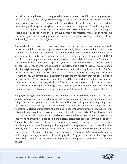period, but during the early morning, you don't need to wake up and throw on sunglasses and go out the house, come on, you're throwing off and again, your body's association with the light in your environment is throwing off the opportunity to get things set in a nice rhythm, not a hit against using your sunglasses or having some nice sunglasses. I'm not trying to take that from you, but as Mike Posner said, "You think you're cooler than me." I'm just kidding, I'm just kidding, it's all good. We can utilize the sunglasses in appropriate times, but also have some time where you're not covering your eyes in darkness during the day, alright. Let some of that ambient light in to get things synced up.

And also finally here, just because we might have these cognitive arguments coming up, "Well, I can't get sunlight in the morning." Where there's a will, there's a thousand ways. Find a way to work it in. This might be maybe you go to work, and you get up and you immediately... Or at work, maybe 90 minutes into your shift or whatever, you get out and get some sunlight. Or 90 minutes into starting your day, when you get to work, maybe take a break early. Or whatever the case might be, maybe there's a place in your office building that you can go and you can get some ambient sunlight coming into the room. Now, this is getting into a conversation too about sunlight coming through the windows versus natural sunlight on your skin. That's a whole conversation in and of itself, and I do talk about that in Sleep Smarter, but bottom line is, number one, just getting some natural sunlight in the environment that you are is going to be super helpful. So, we just want to start there, and then we can look at perfection in another time, but make this a mandate, within the first two hours of the sun coming up, get at least just 15 minutes of sunlight, natural light, preferably on your skin, outside, but if not allowing some in, ambient light, opening up the windows, just let the sunlight do it's magical thing.

Alright, I'm going to move on. Now we're at number five here on the five biggest mistakes that people make when trying to get a good night sleep, and number five is eating and drinking things that screw up your sleep quality. In addition, not eating and drinking things that improve your sleep quality, that are required to make your sleep-related hormones and neurotransmitters. So first, eating and drinking things that screw up your sleep. Number one, this is nuts, a six-month study conducted by scientists at the University of Copenhagen, found that the consumption of added sugar and sugar sweetened beverages can lead to an objective loss of one hour worth of sleep each night. Sugar, sugar, sugar can just tear your sleep apart. An objective, this means that they're monitoring this using technology, they're seeing that people might even think, for example, they might think they got seven hours of sleep, but they actually got six... Objectively measuring they lost an hour because of the sugar consumption, the sugar being alive and well operating in their blood stream, alright. So specifically, I noted, added sugar is a major disruptor of our sleep quality. So please understand that sugar can literally steal some of the sweetness away from your sleep quality. So, we want to be mindful of that.

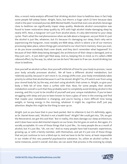Also, a recent meta-analysis affirmed that drinking alcohol close to bedtime does in fact help some people fall asleep faster. Alright, facts, but there's a huge catch-22 here because data cited in the peer-reviewed journal, JMIR Mental Health, found that even one alcoholic beverage close to bedtime can significantly impair sleep quality. Moderate alcohol consumption was found to lower restorative sleep quality by 24% with high alcohol intake damaging sleep by nearly 40%. Now, a hangover isn't just from alcohol alone, it's also detrimental to your sleep cycles. That's what the real phenomenon when we talk about a hangover, we just think it's just the alcohol is just like, whatever, but it's because it's damaging our sleep, that's why we're experiencing the hangover, most notably are REM sleep, which is where a lot of our memory processing takes place, where things get converted to our short-term memory. Have you ever, or do you know somebody that's ever drank, and they don't remember what happened? It's because of their REM sleep being damaged, the architecture of their sleep is damaged, and so they just can't... It just didn't get filed away. And so, keeping this in mind, so it's called a REM rebound effect, by the way. So, what can we do here? We want to if we can. Avoid drinking too close to bedtime.

Give yourself an alcohol curfew. Give yourself a little bit of time for your body to process, 'cause your body actually processes alcohol... We all have a different alcohol metabolism, but relatively quickly, because it can't store it. So, energy shifts over, your body immediately takes priority to utilize that alcohol because it can't be stored. Alright? So, it'll switch over from using your stored body fat, by the way, and start using alcoholic that comes in. Alright, so give your body a little bit of time. Have a curfew with that. Now, for some people, their alcohol metabolism overall is such that they probably want to completely avoid drinking alcohol in the evening, and this is just to be mindful of yourself and your unique metabolism. If you've been struggling with sleep and you've been known to have a glass of wine in the evening and find that maybe your metabolism is changing, and you're having a more difficult time losing weight, or having energy in the morning, whatever it might be, cognitive stuff, just pay attention. Maybe this might be the thing to ease up on.

Alright. Just so you have that in your back pocket. Not to villainize it, but it's definitely, again, as Dr. Daniel Amen said, "Alcohol is not a health food." Alright? We could get into, "Oh, we got the Resveratrol, we got this and that." But in reality, this does damage our sleep architecture, and it does have some detrimental impacts on our brain, the list goes on and on. But again, it's socially acceptable. It's one of those things that is just like... So many people die as a result of alcohol, but it's just like, "Uh, not me." And so many people have had traumatic experiences, growing up, or with a family member, with themselves, and yet it's just one of those things that we just continue to turn a blind eye to. And we have to be far more, at least responsible in our intake of this very powerful psychoactive substance. So, utilize an alcohol curfew. In some instances, avoid it overall. And also, we can assist that process in the evening by simply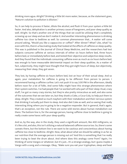drinking more agua. Alright? Drinking a little bit more water, because, as the statement goes, "Nature's solution to pollution is dilution."

So, it can help to process it faster, dilute the alcohol, and flush it from your system a little bit faster. And also, dehydration is another primary cause of hangovers, and poor sleep quality as well. Alright. So that's another one of the things that we could be utilizing that's completely screwing up our sleep and we don't realize it. And another interesting phenomenon is drinking caffeine too close to bedtime as well. So common phenomenon that... A waiter will come around asking, "Would you like a cappuccino or coffee?" After dinner? What? Like, what? So even with this, there's a fascinating study that looked at the effects of caffeine on sleep quality. This was is published in the Journal of Clinical Sleep Medicine, and the researchers had test subjects consume caffeine at various intervals of either six hours before bed, three hours before bed, or immediately before bed, and tested their objective and subjective sleep results. And they found that the individuals consuming caffeine even as much as six hours before bed, was enough to have measurable detrimental impact on their sleep qualities. As a matter of fact, subjectively, they might have thought that they got eight hours of sleep, but objectively, measuring their sleep, they got seven.

They lost, by having caffeine six hours before bed, lost an hour of their actual sleep. And so again, your metabolism for caffeine is going to be different from person to person. I recommend having a caffeine curfew. Let's not push it to say 2:00 PM in the afternoon, ideally before noon for a lot of folks. And some folks might have this strange phenomenon where their system switches. I've had people that I've worked with who part of their sleep ritual, crazy stuff, I've got so many crazy stories, but they're also pretty miraculous as well, and also some of the outcomes that we see later on, but they drank a Coke, a Coca-Cola, to help put them to sleep. Alright. They created so much mayhem with their metabolism and their nervous system that drinking it actually put them to sleep. And also diet Coke as well, and so seeing that really interesting thing where you're going to be a negative responder. But in general, that's again, that's an exception, not the rule. There are some wild stories about human metabolism out there. The bottom line is, for the average person, having caffeine close to bedtime is going to really create some havoc with your sleep quality.

And so, by the way, also in the study, they used a significant amount, like 400 milligrams, so it's like a lot, and also, this isn't utilizing a natural balanced caffeine source too. So, there's some caveats there, but the bottom line is we want to be cautious and conscientious about having caffeine too close to bedtime. Alright. Now, what about what we should be adding in as far as our nutrition that the average person is missing out on? And this is something that I've really been trying to beat the drum about. And where does this analogy come from? Again, I'm thinking of some Vangos or whatever, but it's just... It's a strange analogy, but I guess maybe a [Vango with a song and a message. Okay, "Make sure you eat your tryptophan, sleep and beat](https://themodelhealthshow.com/sleep-mistakes/)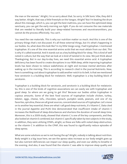the man or the woman." Alright, I'm so sorry about that. So sorry. In Silk Sonic Vibe, they did it way better. Alright, that was a little freestyle on the Vangos. Alright? But I'm beating the drum about this message, which is, you can get the best mattress, you can have the optimized sleep sanctuary, you can get the early morning sun light. If you do not consume the raw materials that are needed to literally build your sleep-related hormones and neurotransmitters, you cannot do the process effectively. You can't.

You need the raw materials. This is why our nutrition matter so much. And this is one of the primary things that's not discussed. It's all these external things, but it's what's happening in our bodies. So, what does this look like? In my little Vango song, I had tryptophan. I mentioned tryptophan. It's one of the nine essential amino acids that we must obtain from our diet. This is why it's called essential. And it stands out as a key building block for sleep. This is kind of well noted in culture, but the way that we look at is kind of twisted in its view. We just think about Thanksgiving. But in our day-to-day lives, we need this essential amino acid. A tryptophan deficiency has been found to create disruptions in our REM sleep, while improving tryptophan levels has been shown to reduce wakefulness at night and increase mental alertness after waking up in the morning. This is according to research cited in the journal Nutrients. Now, here is something cool about tryptophan to add another notch to its belt. Is that we mentioned how serotonin is a building block for melatonin. Well, tryptophan is a key building block of serotonin.

Tryptophan is a building block for serotonin, and serotonin is a building block for melatonin. So, this is one of the kinds of cognitive associations we can easily see with tryptophan and good sleep. So where are we going to get this? Because our bodies utilize tryptophan in copious amounts. Some of the best food sources of tryptophan include chicken, turkey, lobster, eggs, cheese, tofu, chocolate, spinach, pumpkin seeds, peanuts, and one of my favorites, spirulina, these are all great sources, concentrated sources of tryptophan. Let's move on to another key essential, these are what I call good sleep nutrients, it's Vitamin C. Data cited in the journal Appetite and PLOS One demonstrated that insufficient intake of vitamin C increases the likelihood of sleep disturbances and shortens the duration of overall sleep time. Moreover, this is a 2009 study, showed that vitamin C is one of the key components, and they also looked at vitamin E combined, but vitamin C specifically taken by test subjects in the study, in addition, they were utilizing CPAPs, alright, so these are folks with noted sleep obstruction, so the vitamin C in addition to the CPAP, this was found to significantly reduce episodes of sleep apnea.

What are some solutions so we're not having the ap? Alright, nobody is talking about nutrition. Body weight is a big issue here, we see the apnea rates increase as our body weight goes up but also nutrient deficiencies can impact our sleep quality, and even our ability to breathe in [the evening. And also, it was found that the vitamin C was able to improve sleep quality and](https://themodelhealthshow.com/sleep-mistakes/)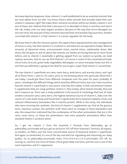decrease daytime sleepiness. Now, vitamin C is well established to be an essential nutrient that we must obtain from our diet. You know, there's other animals that actually make their own vitamin C, bananas, right? We make other nutrients ourselves within our bodies, vitamin C isn't one of them, but I believe that that is because it's so abundant in food, in nutrition, but here's the rub, today, even our best organic produce, because of the way that we've damaged our soil over time, the amounts of key nutrients have declined. And another big issue here, another curve ball with vitamin C is that vitamin C is a stress regulator for the body.

We know that it's like the immune system, this aspect that's popularized but also management of stress is a key role that vitamin C is involved in, and what are we exposed to today? Massive amounts of abnormal stress, environmental stress, mental stress, relationship stress, diet stress, the list goes on and on about the stresses our bodies are facing that we've never faced before, and so vitamin C essentially is getting zapped from our system so quickly, we need copious amounts. And so, we can find Vitamin C of course in some of the conventional foods, citrus fruits, broccoli, green leafy vegetables, bell pepper, so some everyday foods, but this is one that you definitely is going to be ideal for you to get a super food vitamin C concentrate.

The top vitamin C superfoods are camu camu berry, amla berry, and acerola cherry, and I get all of those three. I used to, for years, prior to me knowing about this particular blend that I use today, I would get them from different companies over the years for years, probably 10 years, I would get the different things and it would be different times, but now I have my three favorite vitamin C superfoods in one source. And why this matter is that conventional vitamin C supplements that are using synthetic vitamin C, they simply, when tested clinically, they just don't measure up. There was a study published in the Journal of Cardiology that had 20 male smokers consume camu camu berry, the highest botanical source of vitamin C, daily over the course of a one-week study and found that it significantly led to lowered oxidative stress and reduced inflammatory biomarkers like C-reactive protein. While in the study, the individuals who were receiving the synthetic, the kind of vitamin C supplements you find at the grocery store, checkout counter, the synthetic stuff, there were no changes in those biomarkers and also, the researchers indicated that the combination of the other antioxidants that are in the camu camu berry, so these bio potentiators had more powerful antioxidant effect than standard vitamin C products alone.

So, I get my vitamin C from the Essential C formula from Paleovalley, go to paleovalley.com/model and you get an exclusive 15% off their Essential C formula, all organic, no binders, no fillers, just the most concentrated source of botanical vitamin C superfoods. And again, as mentioned, it's one of the key nutrients for regulating and improving our sleep quality. Go to paleovalley.com/model, that's P-A-L-E-O-V-A-L-L-E-Y.com/model, 15% off. So, moving on, we'll hit one more of these critical good sleep nutrients, and this one is one of the [most important, and it](https://themodelhealthshow.com/sleep-mistakes/)'[s magnesium.](https://themodelhealthshow.com/sleep-mistakes/)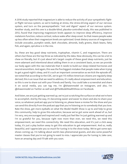A 2016 study reported that magnesium is able to reduce the activity of your sympathetic fightor-flight nervous system, so we're looking at stress, the stress-driving aspect of our nervous system, and turn on the parasympathetic "rest and digest" aspect of our nervous system. Another study, and this one is a double-blind, placebo-controlled study, this was published in 2012, found that improving magnesium levels appears to improve sleep efficiency, improve melatonin function, reduce cortisol, reduce wake after sleep onset. So that means people wake up less often when their magnesium levels are optimized. Great dietary sources of magnesium include avocados, pumpkin seeds, dark chocolate, almonds, leafy greens, black beans, fatty fish, and again, spirulina is in the mix.

So, these are key good sleep nutrients, tryptophan, vitamin C, and magnesium. There are others but these are the top three as indicated by the data. Now obviously, this can be a lot to chew on literally, but it's just about let's target couple of these good sleep nutrients, just be more adamant and intentional about adding them in on a consistent basis, so we can provide our body again with the raw materials that it needs to build our sleep-related hormones and neurotransmitters. And again, this was the five biggest mistakes that people make when trying to get a good night's sleep, and it's such an important conversation as we kick the episode off, we noted that according to the CDC, we've got 115 million American citizens are regularly sleep derived, this is an issue that we need to address, it's really about empowerment and education, so this is one to share out with your friends and family. You could take a screenshot and share it on social media, you can tag me, I'm @shawnmodel on Instagram, and also, I'm @shawnmodel on Twitter as well and @TheModelHealthShow on Facebook.

And listen, we are just getting warmed up, we're just scratching the surface on what we're here to accomplish. And by the way, it's becoming easier and easier to share and also to share your voice, so whatever podcast app you're listening on, please leave a review for the show and you can send this directly from the podcast app that you're listening on to somebody that you love. Rate the show, get more eyeballs on what the Model Health Show is up to and help to grow this community, help to grow this education, because we've got some work ahead of us, but I'm very, very encouraged and inspired and I really just feel like I'm just getting warmed up and I'm so grateful for you, because right now more than ever, we need this, we need this empowerment, we need this connectivity. We need this education, and it's just a click away today, it's just a play button away to get this education to get empowerment. And so, really beautiful, and I appreciate you so much for tuning in to the show today. We've got some epic shows coming up. I'm talking about world class phenomenal guests, and also some powerful master classes that you're not going to want to miss. I appreciate you for tuning in, take care, have an amazing day and I'll talk with you soon.